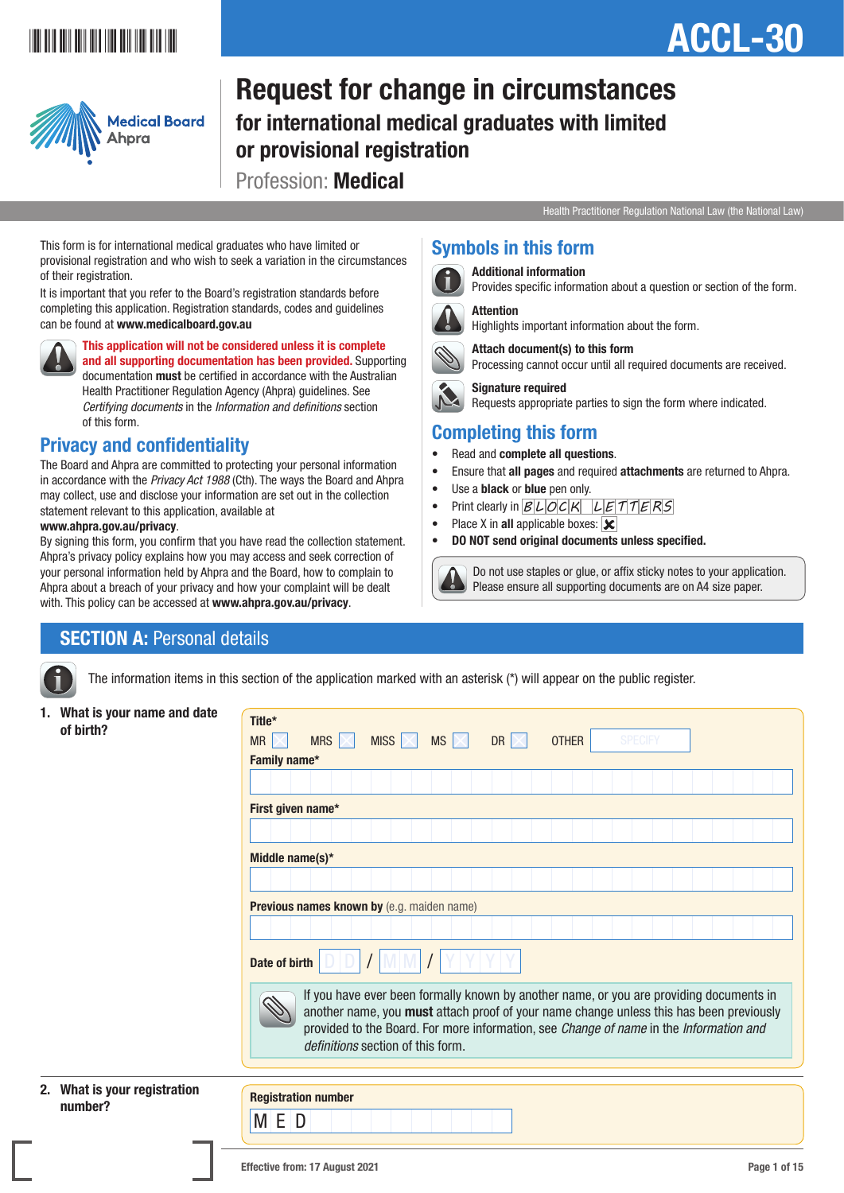## <u>ACCEL-301 | ACCEL-301 | ACCEL-301 | ACCEL-301 | ACCEL-301 | ACCEL-301 | ACCEL-301 | ACCEL-301 | ACCEL-301 | AC</u>

## ACCL-30



Request for change in circumstances for international medical graduates with limited or provisional registration Profession: Medical

Health Practitioner Regulation National Law (the National Law)

This form is for international medical graduates who have limited or provisional registration and who wish to seek a variation in the circumstances of their registration.

It is important that you refer to the Board's registration standards before completing this application. Registration standards, codes and guidelines can be found at www.medicalboard.gov.au



This application will not be considered unless it is complete and all supporting documentation has been provided. Supporting documentation must be certified in accordance with the Australian Health Practitioner Regulation Agency (Ahpra) guidelines. See *Certifying documents* in the *Information and definitions* section of this form.

### Privacy and confidentiality

The Board and Ahpra are committed to protecting your personal information in accordance with the *Privacy Act 1988* (Cth). The ways the Board and Ahpra may collect, use and disclose your information are set out in the collection statement relevant to this application, available at

### www.ahpra.gov.au/privacy.

By signing this form, you confirm that you have read the collection statement. Ahpra's privacy policy explains how you may access and seek correction of your personal information held by Ahpra and the Board, how to complain to Ahpra about a breach of your privacy and how your complaint will be dealt with. This policy can be accessed at www.ahpra.gov.au/privacy.

### Symbols in this form



Additional information

Provides specific information about a question or section of the form.



 Attention Highlights important information about the form.



 Attach document(s) to this form Processing cannot occur until all required documents are received.



Requests appropriate parties to sign the form where indicated.

### Completing this form

- Read and complete all questions.
- Ensure that all pages and required attachments are returned to Ahpra.
- Use a **black** or **blue** pen only.
- Print clearly in  $BLOCK$   $LETTERS$
- Place X in all applicable boxes:  $\mathbf{\times}$
- DO NOT send original documents unless specified.

 Do not use staples or glue, or affix sticky notes to your application. Please ensure all supporting documents are on A4 size paper.

### **SECTION A: Personal details**

The information items in this section of the application marked with an asterisk (\*) will appear on the public register.

1. What is your name and date of birth?

| Family name*      |                                            |  |  |                                                                                                                                                                                                                                                                              |
|-------------------|--------------------------------------------|--|--|------------------------------------------------------------------------------------------------------------------------------------------------------------------------------------------------------------------------------------------------------------------------------|
|                   |                                            |  |  |                                                                                                                                                                                                                                                                              |
| First given name* |                                            |  |  |                                                                                                                                                                                                                                                                              |
|                   |                                            |  |  |                                                                                                                                                                                                                                                                              |
| Middle name(s)*   |                                            |  |  |                                                                                                                                                                                                                                                                              |
|                   |                                            |  |  |                                                                                                                                                                                                                                                                              |
|                   | Previous names known by (e.g. maiden name) |  |  |                                                                                                                                                                                                                                                                              |
| Date of birth     |                                            |  |  |                                                                                                                                                                                                                                                                              |
|                   | <i>definitions</i> section of this form.   |  |  | If you have ever been formally known by another name, or you are providing documents in<br>another name, you must attach proof of your name change unless this has been previously<br>provided to the Board. For more information, see Change of name in the Information and |

### 2. What is your registration number?

M E D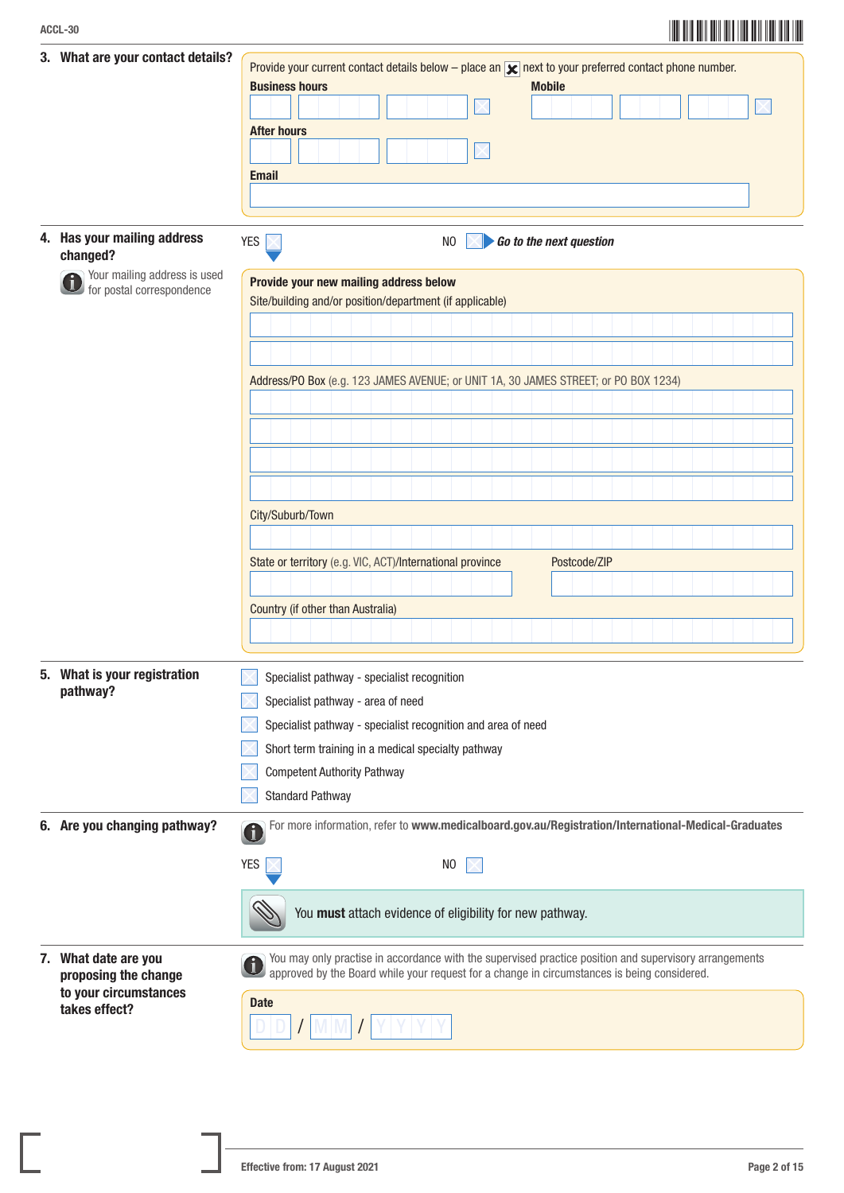## ACCL-30<br>ACCL-30

| 3. What are your contact details?                         | Provide your current contact details below – place an $\vert \mathbf{x} \vert$ next to your preferred contact phone number.<br><b>Business hours</b><br><b>Mobile</b>                                                |
|-----------------------------------------------------------|----------------------------------------------------------------------------------------------------------------------------------------------------------------------------------------------------------------------|
|                                                           |                                                                                                                                                                                                                      |
|                                                           | <b>After hours</b>                                                                                                                                                                                                   |
|                                                           |                                                                                                                                                                                                                      |
|                                                           | <b>Email</b>                                                                                                                                                                                                         |
|                                                           |                                                                                                                                                                                                                      |
| 4. Has your mailing address<br>changed?                   | <b>YES</b><br>N <sub>0</sub><br>Go to the next question                                                                                                                                                              |
| Your mailing address is used<br>for postal correspondence | Provide your new mailing address below<br>Site/building and/or position/department (if applicable)                                                                                                                   |
|                                                           |                                                                                                                                                                                                                      |
|                                                           |                                                                                                                                                                                                                      |
|                                                           |                                                                                                                                                                                                                      |
|                                                           | Address/PO Box (e.g. 123 JAMES AVENUE; or UNIT 1A, 30 JAMES STREET; or PO BOX 1234)                                                                                                                                  |
|                                                           |                                                                                                                                                                                                                      |
|                                                           |                                                                                                                                                                                                                      |
|                                                           |                                                                                                                                                                                                                      |
|                                                           |                                                                                                                                                                                                                      |
|                                                           | City/Suburb/Town                                                                                                                                                                                                     |
|                                                           |                                                                                                                                                                                                                      |
|                                                           | State or territory (e.g. VIC, ACT)/International province<br>Postcode/ZIP                                                                                                                                            |
|                                                           |                                                                                                                                                                                                                      |
|                                                           | Country (if other than Australia)                                                                                                                                                                                    |
|                                                           |                                                                                                                                                                                                                      |
| 5. What is your registration<br>pathway?                  | Specialist pathway - specialist recognition                                                                                                                                                                          |
|                                                           | Specialist pathway - area of need                                                                                                                                                                                    |
|                                                           | Specialist pathway - specialist recognition and area of need                                                                                                                                                         |
|                                                           | Short term training in a medical specialty pathway                                                                                                                                                                   |
|                                                           | <b>Competent Authority Pathway</b>                                                                                                                                                                                   |
|                                                           | <b>Standard Pathway</b>                                                                                                                                                                                              |
| 6. Are you changing pathway?                              | For more information, refer to www.medicalboard.gov.au/Registration/International-Medical-Graduates                                                                                                                  |
|                                                           | <b>YES</b><br>N <sub>0</sub>                                                                                                                                                                                         |
|                                                           | You must attach evidence of eligibility for new pathway.                                                                                                                                                             |
| 7. What date are you<br>proposing the change              | You may only practise in accordance with the supervised practice position and supervisory arrangements<br>$\mathbf i$<br>approved by the Board while your request for a change in circumstances is being considered. |
| to your circumstances<br>takes effect?                    | <b>Date</b>                                                                                                                                                                                                          |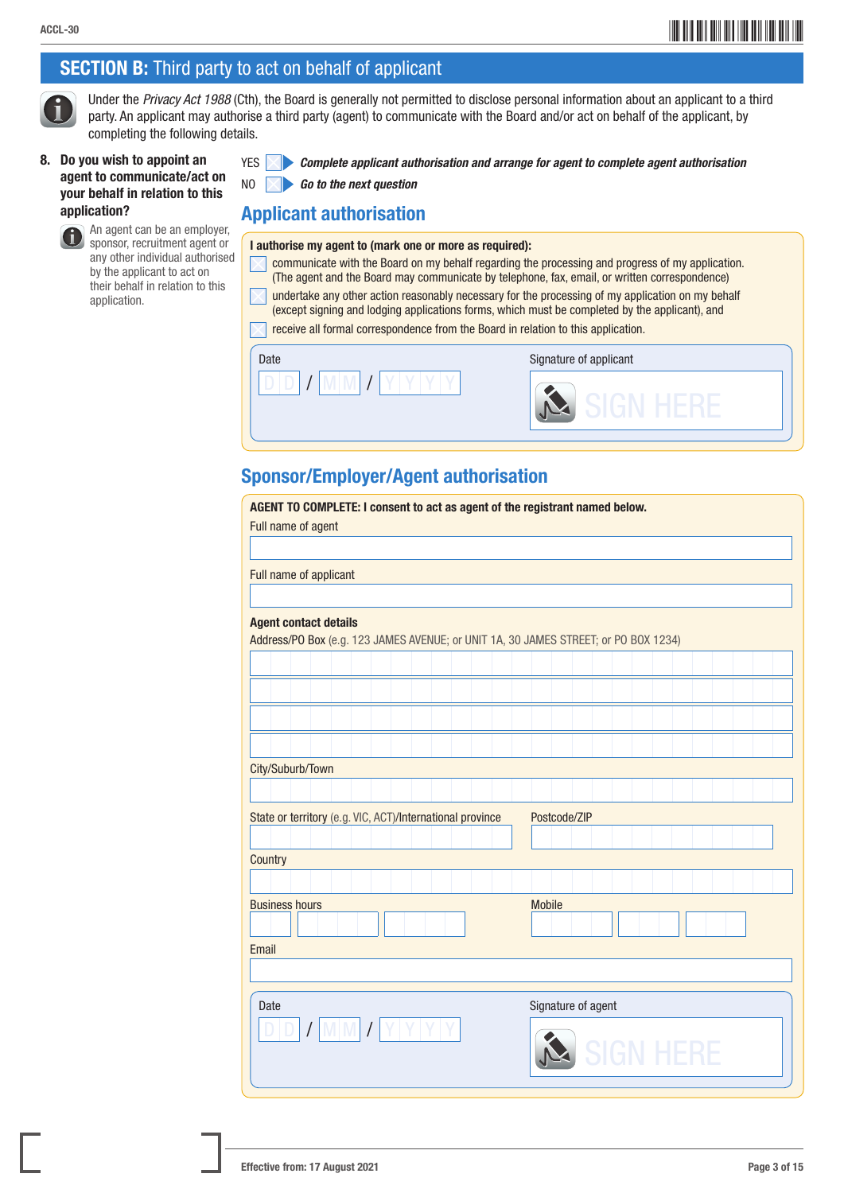### **SECTION B:** Third party to act on behalf of applicant

 Under the *Privacy Act 1988* (Cth), the Board is generally not permitted to disclose personal information about an applicant to a third party. An applicant may authorise a third party (agent) to communicate with the Board and/or act on behalf of the applicant, by completing the following details.

### 8. Do you wish to appoint an agent to communicate/act on your behalf in relation to this application?

 An agent can be an employer, **Sponsor, recruitment agent or** any other individual authorised by the applicant to act on their behalf in relation to this application.

|  | $YES$ $\triangleright$ Complete applicant authorisation and arrange for agent to complete agent authorisation |
|--|---------------------------------------------------------------------------------------------------------------|
|--|---------------------------------------------------------------------------------------------------------------|

NO *Go to the next question*

### Applicant authorisation

- I authorise my agent to (mark one or more as required):
	- communicate with the Board on my behalf regarding the processing and progress of my application. (The agent and the Board may communicate by telephone, fax, email, or written correspondence)
	- undertake any other action reasonably necessary for the processing of my application on my behalf (except signing and lodging applications forms, which must be completed by the applicant), and

receive all formal correspondence from the Board in relation to this application.

| Date | Signature of applicant |
|------|------------------------|
| υ    | سندا                   |

### Sponsor/Employer/Agent authorisation

| AGENT TO COMPLETE: I consent to act as agent of the registrant named below.<br>Full name of agent |                                                                                     |  |  |  |  |  |  |
|---------------------------------------------------------------------------------------------------|-------------------------------------------------------------------------------------|--|--|--|--|--|--|
|                                                                                                   |                                                                                     |  |  |  |  |  |  |
| Full name of applicant                                                                            |                                                                                     |  |  |  |  |  |  |
|                                                                                                   |                                                                                     |  |  |  |  |  |  |
| <b>Agent contact details</b>                                                                      |                                                                                     |  |  |  |  |  |  |
|                                                                                                   | Address/PO Box (e.g. 123 JAMES AVENUE; or UNIT 1A, 30 JAMES STREET; or PO BOX 1234) |  |  |  |  |  |  |
|                                                                                                   |                                                                                     |  |  |  |  |  |  |
|                                                                                                   |                                                                                     |  |  |  |  |  |  |
|                                                                                                   |                                                                                     |  |  |  |  |  |  |
|                                                                                                   |                                                                                     |  |  |  |  |  |  |
| City/Suburb/Town                                                                                  |                                                                                     |  |  |  |  |  |  |
|                                                                                                   |                                                                                     |  |  |  |  |  |  |
|                                                                                                   |                                                                                     |  |  |  |  |  |  |
|                                                                                                   | State or territory (e.g. VIC, ACT)/International province<br>Postcode/ZIP           |  |  |  |  |  |  |
|                                                                                                   |                                                                                     |  |  |  |  |  |  |
| Country                                                                                           |                                                                                     |  |  |  |  |  |  |
|                                                                                                   |                                                                                     |  |  |  |  |  |  |
| <b>Business hours</b>                                                                             | <b>Mobile</b>                                                                       |  |  |  |  |  |  |
|                                                                                                   |                                                                                     |  |  |  |  |  |  |
| Email                                                                                             |                                                                                     |  |  |  |  |  |  |
|                                                                                                   |                                                                                     |  |  |  |  |  |  |
| Date                                                                                              | Signature of agent                                                                  |  |  |  |  |  |  |
|                                                                                                   | <b>SIGN HERE</b>                                                                    |  |  |  |  |  |  |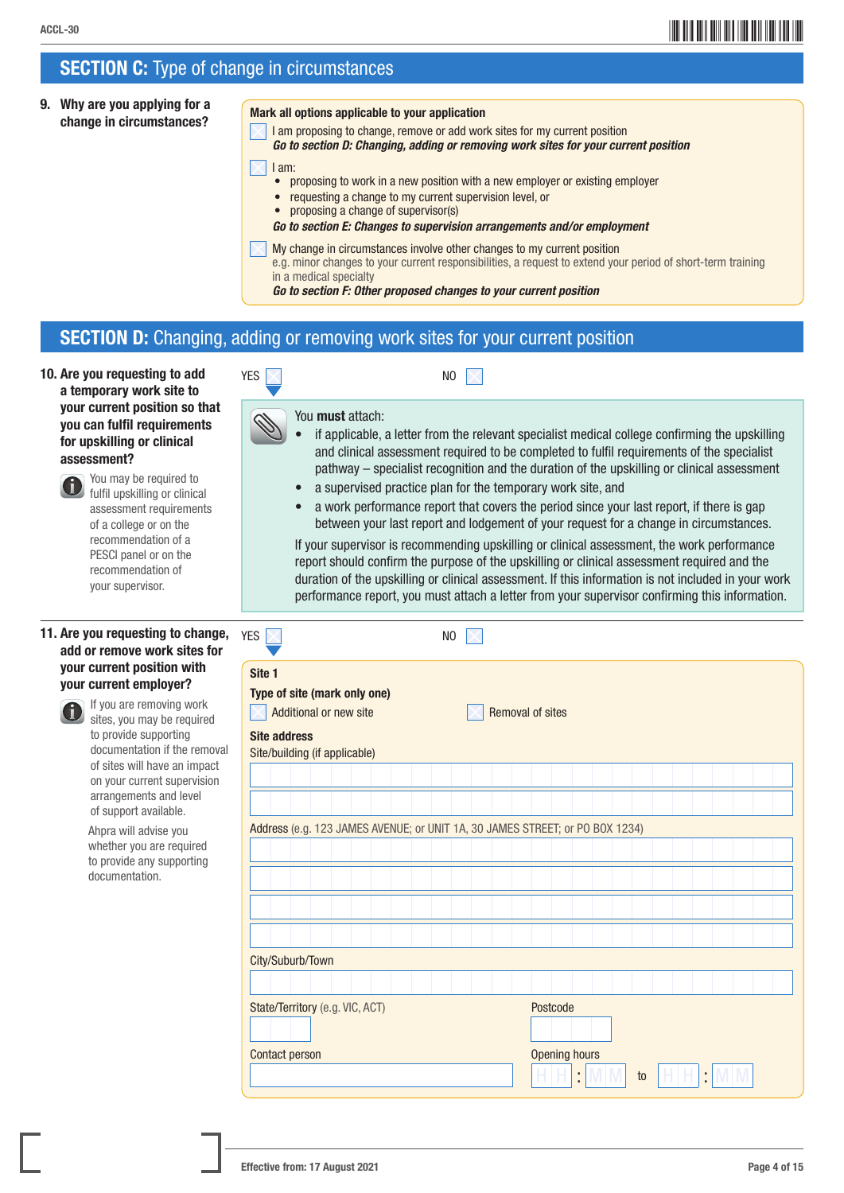### **SECTION C:** Type of change in circumstances

9. Why are you applying for a why are you applying for a<br>change in circumstances?

- I am proposing to change, remove or add work sites for my current position
- *Go to section D: Changing, adding or removing work sites for your current position*

```
 I am:
```
- proposing to work in a new position with a new employer or existing employer
- requesting a change to my current supervision level, or
- proposing a change of supervisor(s)
- *Go to section E: Changes to supervision arrangements and/or employment*
- My change in circumstances involve other changes to my current position e.g. minor changes to your current responsibilities, a request to extend your period of short-term training in a medical specialty

*Go to section F: Other proposed changes to your current position*

### SECTION D: Changing, adding or removing work sites for your current position

10. Are you requesting to add a temporary work site to your current position so that you can fulfil requirements for upskilling or clinical assessment?



 You may be required to fulfil upskilling or clinical assessment requirements of a college or on the recommendation of a PESCI panel or on the recommendation of your supervisor.

### 11. Are you requesting to change, add or remove work sites for your current position with your current employer?



 If you are removing work sites, you may be required to provide supporting documentation if the removal of sites will have an impact on your current supervision arrangements and level of support available.

 Ahpra will advise you whether you are required to provide any supporting documentation.

| YES |  |  | N <sub>0</sub> |
|-----|--|--|----------------|
|     |  |  |                |

You **must** attach:

- if applicable, a letter from the relevant specialist medical college confirming the upskilling and clinical assessment required to be completed to fulfil requirements of the specialist pathway – specialist recognition and the duration of the upskilling or clinical assessment
- a supervised practice plan for the temporary work site, and
- a work performance report that covers the period since your last report, if there is gap between your last report and lodgement of your request for a change in circumstances.

 If your supervisor is recommending upskilling or clinical assessment, the work performance report should confirm the purpose of the upskilling or clinical assessment required and the duration of the upskilling or clinical assessment. If this information is not included in your work performance report, you must attach a letter from your supervisor confirming this information.

| <b>YES</b>                                                                              | N <sub>0</sub> |                         |   |
|-----------------------------------------------------------------------------------------|----------------|-------------------------|---|
| Site 1<br>Type of site (mark only one)<br>Additional or new site<br><b>Site address</b> |                | <b>Removal of sites</b> |   |
| Site/building (if applicable)                                                           |                |                         |   |
|                                                                                         |                |                         |   |
|                                                                                         |                |                         |   |
| Address (e.g. 123 JAMES AVENUE; or UNIT 1A, 30 JAMES STREET; or PO BOX 1234)            |                |                         |   |
|                                                                                         |                |                         |   |
|                                                                                         |                |                         |   |
|                                                                                         |                |                         |   |
|                                                                                         |                |                         |   |
|                                                                                         |                |                         |   |
| City/Suburb/Town                                                                        |                |                         |   |
|                                                                                         |                |                         |   |
| State/Territory (e.g. VIC, ACT)                                                         |                | Postcode                |   |
|                                                                                         |                |                         |   |
| Contact person                                                                          |                | Opening hours           |   |
|                                                                                         |                | t<br>to                 | ÷ |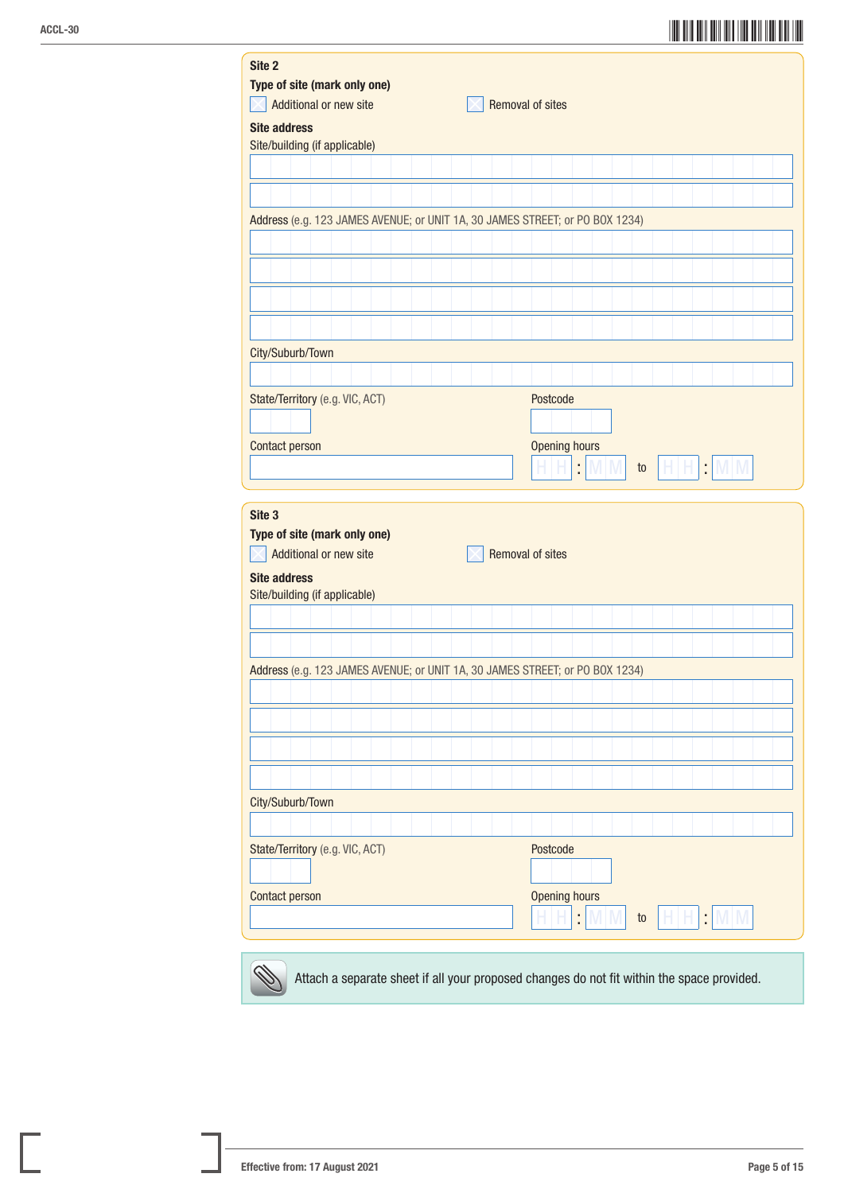## ACCL-30<br>ACCL-30

| Site 2                                                                       |  |                         |     |    |  |          |  |
|------------------------------------------------------------------------------|--|-------------------------|-----|----|--|----------|--|
| Type of site (mark only one)<br>Additional or new site                       |  | <b>Removal of sites</b> |     |    |  |          |  |
| <b>Site address</b>                                                          |  |                         |     |    |  |          |  |
| Site/building (if applicable)                                                |  |                         |     |    |  |          |  |
|                                                                              |  |                         |     |    |  |          |  |
|                                                                              |  |                         |     |    |  |          |  |
| Address (e.g. 123 JAMES AVENUE; or UNIT 1A, 30 JAMES STREET; or PO BOX 1234) |  |                         |     |    |  |          |  |
|                                                                              |  |                         |     |    |  |          |  |
|                                                                              |  |                         |     |    |  |          |  |
|                                                                              |  |                         |     |    |  |          |  |
|                                                                              |  |                         |     |    |  |          |  |
|                                                                              |  |                         |     |    |  |          |  |
| City/Suburb/Town                                                             |  |                         |     |    |  |          |  |
|                                                                              |  |                         |     |    |  |          |  |
| State/Territory (e.g. VIC, ACT)                                              |  | Postcode                |     |    |  |          |  |
| Contact person                                                               |  | <b>Opening hours</b>    |     |    |  |          |  |
|                                                                              |  | t                       | M M | to |  | $H H$ MM |  |
|                                                                              |  |                         |     |    |  |          |  |
|                                                                              |  |                         |     |    |  |          |  |
| Site 3                                                                       |  |                         |     |    |  |          |  |
| Type of site (mark only one)                                                 |  |                         |     |    |  |          |  |
| Additional or new site                                                       |  | <b>Removal of sites</b> |     |    |  |          |  |
| <b>Site address</b>                                                          |  |                         |     |    |  |          |  |
| Site/building (if applicable)                                                |  |                         |     |    |  |          |  |
|                                                                              |  |                         |     |    |  |          |  |
|                                                                              |  |                         |     |    |  |          |  |
| Address (e.g. 123 JAMES AVENUE; or UNIT 1A, 30 JAMES STREET; or PO BOX 1234) |  |                         |     |    |  |          |  |
|                                                                              |  |                         |     |    |  |          |  |
|                                                                              |  |                         |     |    |  |          |  |
|                                                                              |  |                         |     |    |  |          |  |
|                                                                              |  |                         |     |    |  |          |  |
| City/Suburb/Town                                                             |  |                         |     |    |  |          |  |
|                                                                              |  |                         |     |    |  |          |  |
| State/Territory (e.g. VIC, ACT)                                              |  | Postcode                |     |    |  |          |  |
|                                                                              |  |                         |     |    |  |          |  |
| Contact person                                                               |  | <b>Opening hours</b>    |     |    |  |          |  |
|                                                                              |  | ÷,                      | M M | to |  | HHMM     |  |



Attach a separate sheet if all your proposed changes do not fit within the space provided.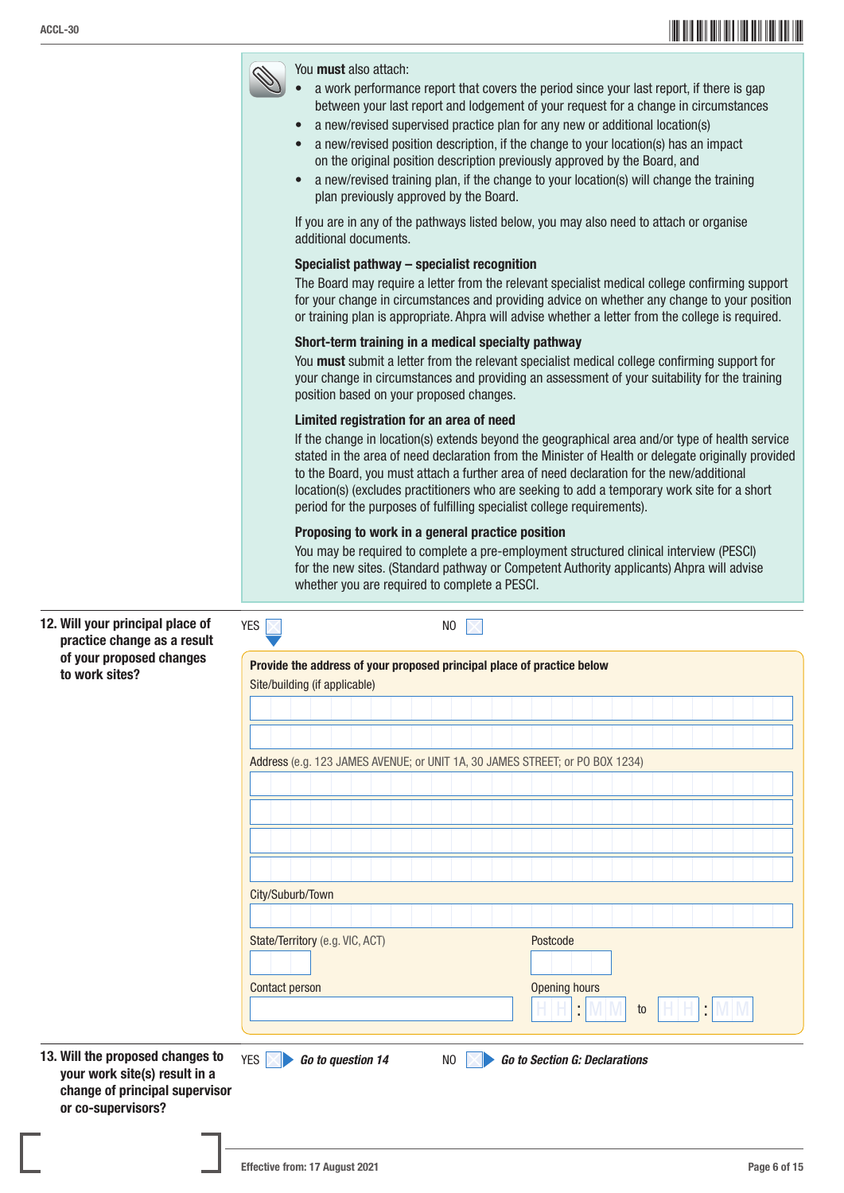## \*ACCL-306\* ACCL-30



| 12. Will your principal place of<br>practice change as a result                       | <b>YES</b><br>N <sub>0</sub>                                                                            |                                      |  |  |  |  |  |  |
|---------------------------------------------------------------------------------------|---------------------------------------------------------------------------------------------------------|--------------------------------------|--|--|--|--|--|--|
| of your proposed changes<br>to work sites?                                            | Provide the address of your proposed principal place of practice below<br>Site/building (if applicable) |                                      |  |  |  |  |  |  |
|                                                                                       |                                                                                                         |                                      |  |  |  |  |  |  |
|                                                                                       | Address (e.g. 123 JAMES AVENUE; or UNIT 1A, 30 JAMES STREET; or PO BOX 1234)                            |                                      |  |  |  |  |  |  |
|                                                                                       |                                                                                                         |                                      |  |  |  |  |  |  |
|                                                                                       |                                                                                                         |                                      |  |  |  |  |  |  |
|                                                                                       | City/Suburb/Town                                                                                        |                                      |  |  |  |  |  |  |
|                                                                                       |                                                                                                         |                                      |  |  |  |  |  |  |
|                                                                                       | State/Territory (e.g. VIC, ACT)                                                                         | Postcode                             |  |  |  |  |  |  |
|                                                                                       | <b>Contact person</b>                                                                                   | Opening hours<br>t<br>t<br>to        |  |  |  |  |  |  |
| 13. Will the proposed changes to                                                      | YES $ \times $<br>Go to question 14<br>NO                                                               | <b>Go to Section G: Declarations</b> |  |  |  |  |  |  |
| your work site(s) result in a<br>change of principal supervisor<br>or co-supervisors? |                                                                                                         |                                      |  |  |  |  |  |  |
| <b>Contract Contract</b>                                                              |                                                                                                         |                                      |  |  |  |  |  |  |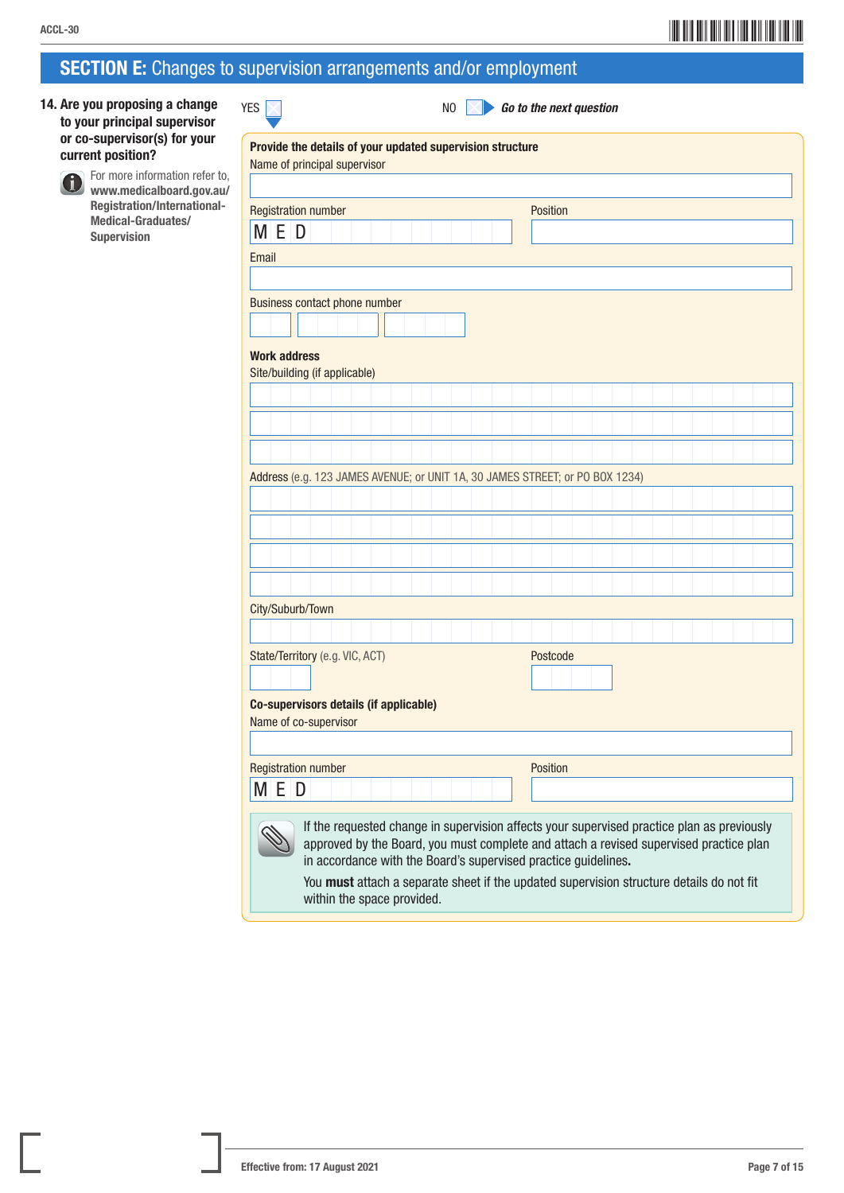## $\overline{\mathcal{A}}$ CCL-30 $\overline{\mathcal{A}}$

### SECTION E: Changes to supervision arrangements and/or employment

YES **X** NO **A** Go to the next question

14. Are you proposing a change to your principal supervisor or co-supervisor(s) for your current position?

> For more information refer to, www.medicalboard.gov.au/ Registration/International-Medical-Graduates/ Supervision

| <b>Registration number</b>                                                   |          |
|------------------------------------------------------------------------------|----------|
|                                                                              | Position |
| MED                                                                          |          |
| Email                                                                        |          |
|                                                                              |          |
| Business contact phone number                                                |          |
|                                                                              |          |
|                                                                              |          |
| <b>Work address</b>                                                          |          |
| Site/building (if applicable)                                                |          |
|                                                                              |          |
|                                                                              |          |
|                                                                              |          |
|                                                                              |          |
| Address (e.g. 123 JAMES AVENUE; or UNIT 1A, 30 JAMES STREET; or PO BOX 1234) |          |
|                                                                              |          |
|                                                                              |          |
|                                                                              |          |
|                                                                              |          |
|                                                                              |          |
| City/Suburb/Town                                                             |          |
|                                                                              |          |
|                                                                              |          |
| State/Territory (e.g. VIC, ACT)                                              | Postcode |
|                                                                              |          |
|                                                                              |          |
|                                                                              |          |
| Co-supervisors details (if applicable)<br>Name of co-supervisor              |          |
|                                                                              |          |
|                                                                              |          |
| <b>Registration number</b><br>M E<br>D                                       | Position |

ш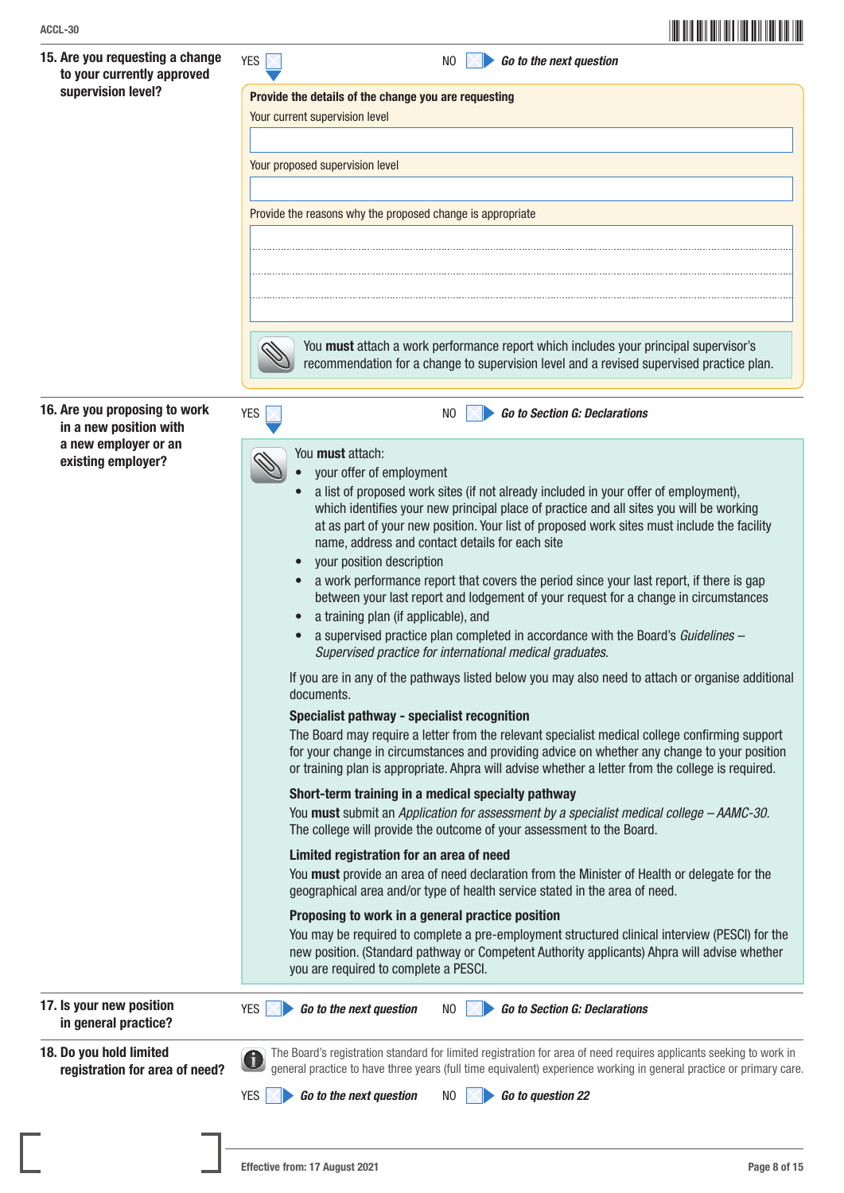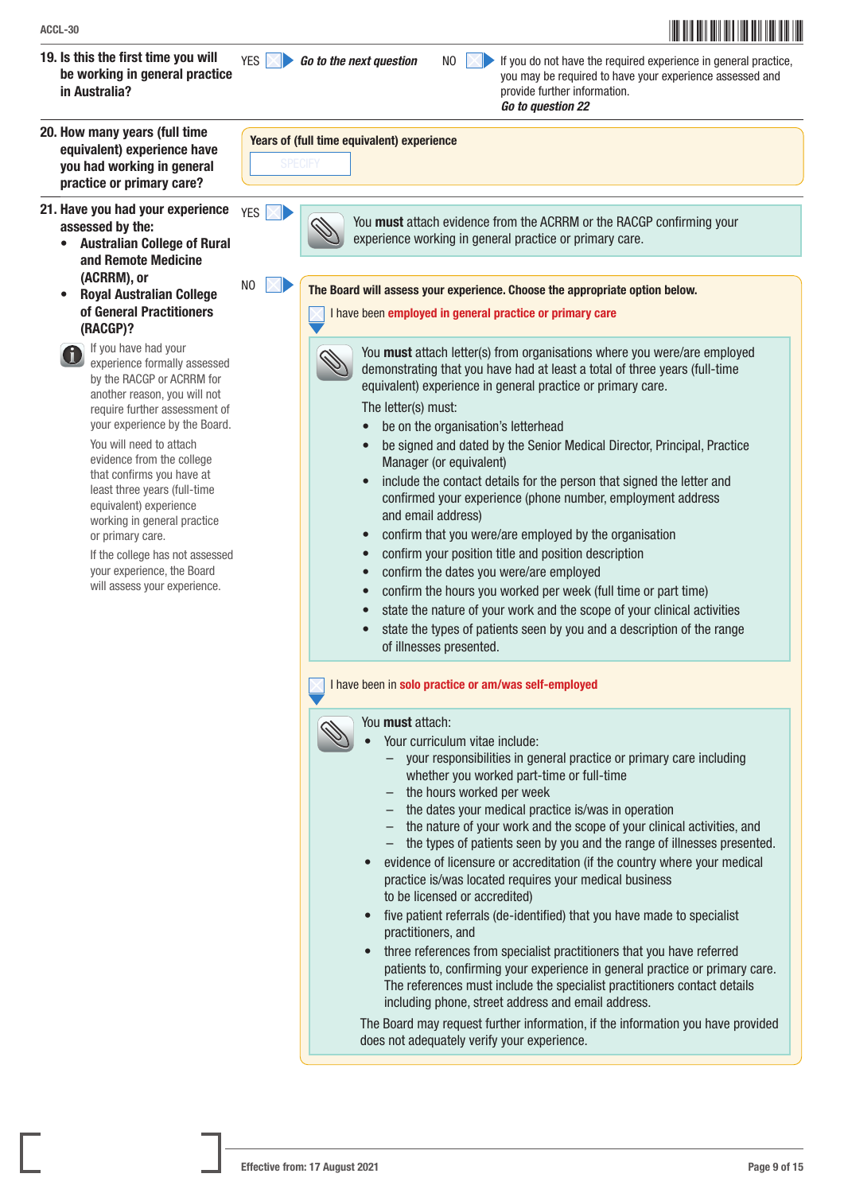- 19. Is this the first time you will be working in general practice in Australia?
- 20. How many years (full time equivalent) experience have you had working in general practice or primary care?
- 21. Have you had your experience assessed by the:
	- Australian College of Rural and Remote Medicine (ACRRM), or
	- Royal Australian College of General Practitioners (RACGP)?
		- If you have had your experience formally assessed by the RACGP or ACRRM for another reason, you will not require further assessment of your experience by the Board.

You will need to attach evidence from the college that confirms you have at least three years (full-time equivalent) experience working in general practice or primary care.

 If the college has not assessed your experience, the Board will assess your experience.

YES **Go to the next question** NO **NO** if you do not have the required experience in general practice, you may be required to have your experience assessed and provide further information.

*Go to question 22*



YES **X** You must attach evidence from the ACRRM or the RACGP confirming your experience working in general practice or primary care.

 $\overline{N}$  The Board will assess your experience. Choose the appropriate option below.

I have been employed in general practice or primary care



You **must** attach letter(s) from organisations where you were/are employed demonstrating that you have had at least a total of three years (full-time equivalent) experience in general practice or primary care.

The letter(s) must:

- be on the organisation's letterhead
- be signed and dated by the Senior Medical Director, Principal, Practice Manager (or equivalent)
- include the contact details for the person that signed the letter and confirmed your experience (phone number, employment address and email address)
- confirm that you were/are employed by the organisation
- confirm your position title and position description
- confirm the dates you were/are employed
- confirm the hours you worked per week (full time or part time)
	- state the nature of your work and the scope of your clinical activities
- state the types of patients seen by you and a description of the range of illnesses presented.

### I have been in solo practice or am/was self-employed

### You must attach:

Your curriculum vitae include:

- your responsibilities in general practice or primary care including whether you worked part-time or full-time
- the hours worked per week
- the dates your medical practice is/was in operation
- the nature of your work and the scope of your clinical activities, and
- the types of patients seen by you and the range of illnesses presented.
- evidence of licensure or accreditation (if the country where your medical practice is/was located requires your medical business to be licensed or accredited)
- five patient referrals (de-identified) that you have made to specialist practitioners, and
- three references from specialist practitioners that you have referred patients to, confirming your experience in general practice or primary care. The references must include the specialist practitioners contact details including phone, street address and email address.

 The Board may request further information, if the information you have provided does not adequately verify your experience.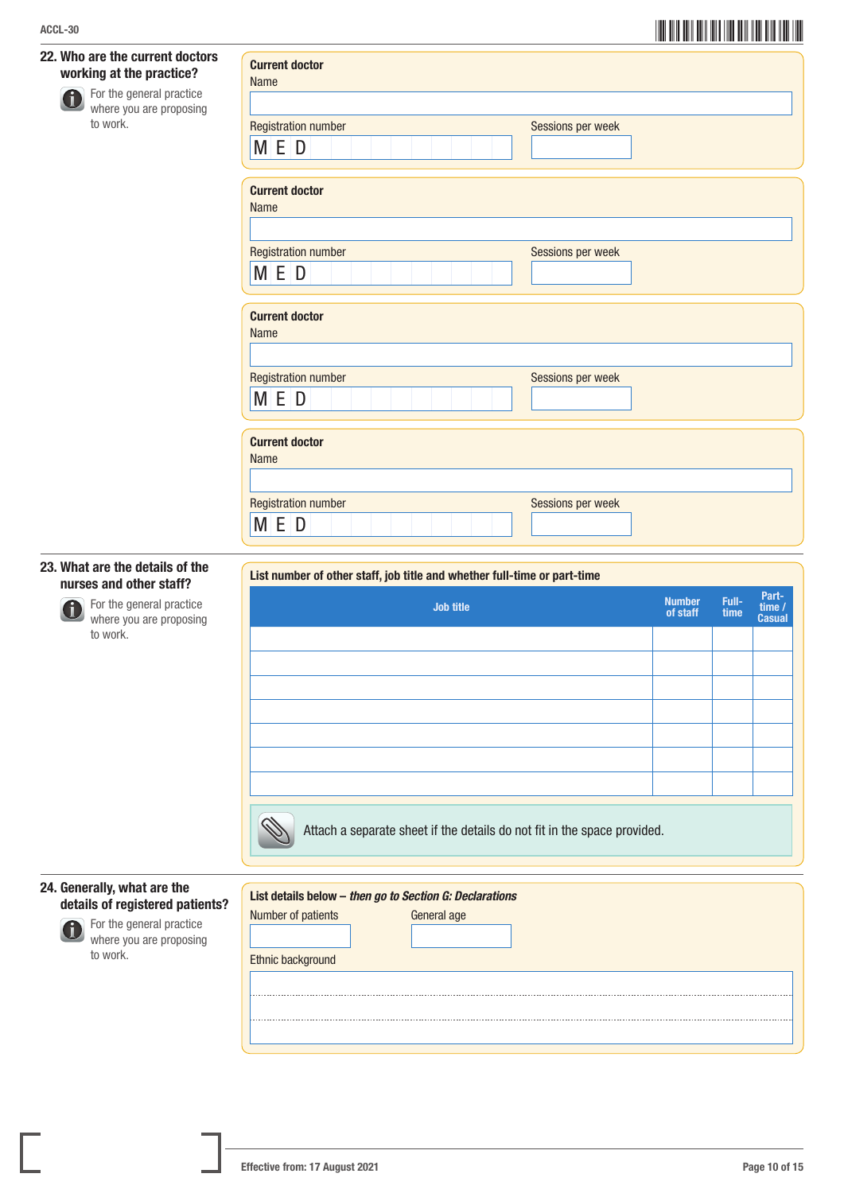# \*ACCL-3010\* ACCL-30

| 22. Who are the current doctors<br>working at the practice?<br>For the general practice<br>8<br>where you are proposing<br>to work. | <b>Current doctor</b><br><b>Name</b><br><b>Registration number</b><br>Sessions per week<br>M E D                  |                           |               |                         |  |  |  |
|-------------------------------------------------------------------------------------------------------------------------------------|-------------------------------------------------------------------------------------------------------------------|---------------------------|---------------|-------------------------|--|--|--|
|                                                                                                                                     | <b>Current doctor</b><br><b>Name</b>                                                                              |                           |               |                         |  |  |  |
|                                                                                                                                     | <b>Registration number</b><br>Sessions per week<br>M E D                                                          |                           |               |                         |  |  |  |
|                                                                                                                                     | <b>Current doctor</b><br>Name                                                                                     |                           |               |                         |  |  |  |
|                                                                                                                                     | <b>Registration number</b><br>Sessions per week<br>M E D                                                          |                           |               |                         |  |  |  |
|                                                                                                                                     | <b>Current doctor</b><br>Name                                                                                     |                           |               |                         |  |  |  |
|                                                                                                                                     | <b>Registration number</b><br>Sessions per week<br>M E D                                                          |                           |               |                         |  |  |  |
| 23. What are the details of the<br>nurses and other staff?                                                                          | List number of other staff, job title and whether full-time or part-time                                          |                           |               | Part-                   |  |  |  |
| For the general practice<br>$\mathbf d$<br>where you are proposing<br>to work.                                                      | <b>Job title</b>                                                                                                  | <b>Number</b><br>of staff | Full-<br>time | time /<br><b>Casual</b> |  |  |  |
|                                                                                                                                     |                                                                                                                   |                           |               |                         |  |  |  |
|                                                                                                                                     |                                                                                                                   |                           |               |                         |  |  |  |
|                                                                                                                                     |                                                                                                                   |                           |               |                         |  |  |  |
|                                                                                                                                     | Attach a separate sheet if the details do not fit in the space provided.                                          |                           |               |                         |  |  |  |
| 24. Generally, what are the<br>details of registered patients?<br>For the general practice<br>where you are proposing<br>to work.   | List details below - then go to Section G: Declarations<br>Number of patients<br>General age<br>Ethnic background |                           |               |                         |  |  |  |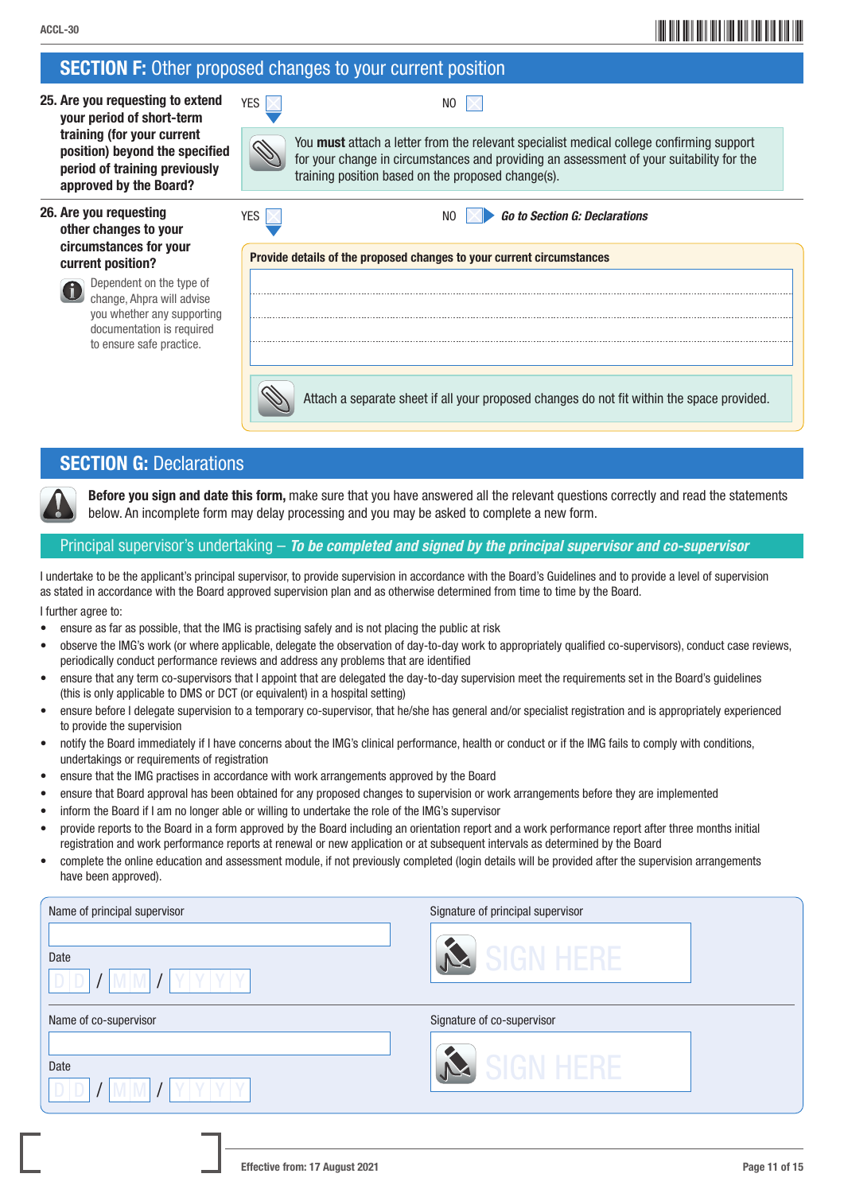## \*ACCL-3011\* ACCL-30

### **SECTION F:** Other proposed changes to your current position

25. Are you requesting to extend your period of short-term training (for your current position) beyond the specified period of training previously approved by the Board? YES NO

### 26. Are you requesting other changes to your circumstances for your current position?



 Dependent on the type of change, Ahpra will advise you whether any supporting documentation is required to ensure safe practice.

 You must attach a letter from the relevant specialist medical college confirming support or your change in circumstances and providing an assessment of your suitability for the training position based on the proposed change(s).



YES NO *Go to Section G: Declarations*

Provide details of the proposed changes to your current circumstances

Attach a separate sheet if all your proposed changes do not fit within the space provided.

### **SECTION G: Declarations**

Before you sign and date this form, make sure that you have answered all the relevant questions correctly and read the statements below. An incomplete form may delay processing and you may be asked to complete a new form.

### Principal supervisor's undertaking – *To be completed and signed by the principal supervisor and co-supervisor*

I undertake to be the applicant's principal supervisor, to provide supervision in accordance with the Board's Guidelines and to provide a level of supervision as stated in accordance with the Board approved supervision plan and as otherwise determined from time to time by the Board.

I further agree to:

- ensure as far as possible, that the IMG is practising safely and is not placing the public at risk
- observe the IMG's work (or where applicable, delegate the observation of day-to-day work to appropriately qualified co-supervisors), conduct case reviews, periodically conduct performance reviews and address any problems that are identified
- ensure that any term co-supervisors that I appoint that are delegated the day-to-day supervision meet the requirements set in the Board's guidelines (this is only applicable to DMS or DCT (or equivalent) in a hospital setting)
- ensure before I delegate supervision to a temporary co-supervisor, that he/she has general and/or specialist registration and is appropriately experienced to provide the supervision
- notify the Board immediately if I have concerns about the IMG's clinical performance, health or conduct or if the IMG fails to comply with conditions, undertakings or requirements of registration
- ensure that the IMG practises in accordance with work arrangements approved by the Board
- ensure that Board approval has been obtained for any proposed changes to supervision or work arrangements before they are implemented
- inform the Board if I am no longer able or willing to undertake the role of the IMG's supervisor
- provide reports to the Board in a form approved by the Board including an orientation report and a work performance report after three months initial registration and work performance reports at renewal or new application or at subsequent intervals as determined by the Board
- complete the online education and assessment module, if not previously completed (login details will be provided after the supervision arrangements have been approved).

| Name of principal supervisor | Signature of principal supervisor |
|------------------------------|-----------------------------------|
| Date                         | GN HERE                           |
| Name of co-supervisor        | Signature of co-supervisor        |
| Date                         | GN HFRF                           |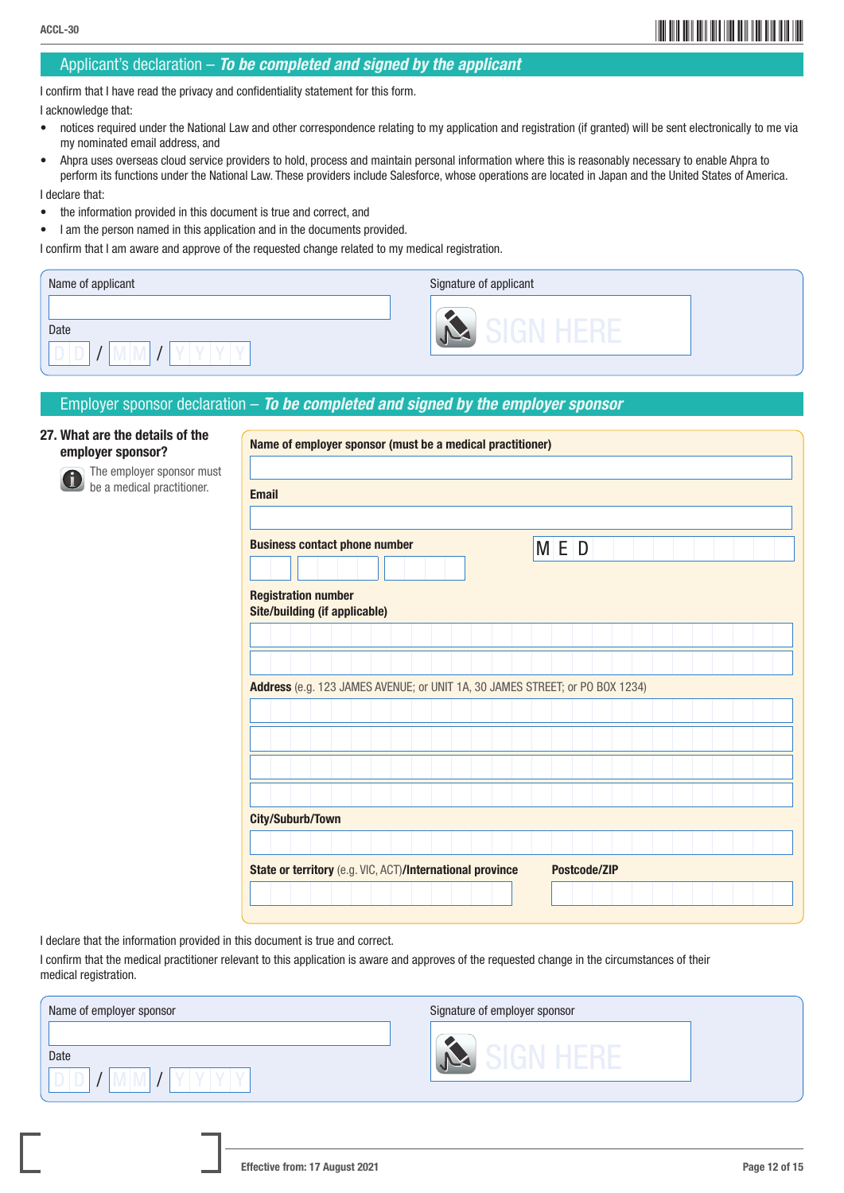## \*ACCL-3012\* ACCL-30

### Applicant's declaration – *To be completed and signed by the applicant*

I confirm that I have read the privacy and confidentiality statement for this form.

I acknowledge that:

- notices required under the National Law and other correspondence relating to my application and registration (if granted) will be sent electronically to me via my nominated email address, and
- Ahpra uses overseas cloud service providers to hold, process and maintain personal information where this is reasonably necessary to enable Ahpra to perform its functions under the National Law. These providers include Salesforce, whose operations are located in Japan and the United States of America.

I declare that:

- the information provided in this document is true and correct, and
- I am the person named in this application and in the documents provided.

I confirm that I am aware and approve of the requested change related to my medical registration.

| Name of applicant | Signature of applicant |
|-------------------|------------------------|
| Date              |                        |

### Employer sponsor declaration – *To be completed and signed by the employer sponsor*

### 27. What are the details of the employer sponsor?



 The employer sponsor must be a medical practitioner.

| Name of employer sponsor (must be a medical practitioner)                    |                                                                    |  |  |  |  |  |  |  |  |  |  |              |  |  |  |  |  |  |
|------------------------------------------------------------------------------|--------------------------------------------------------------------|--|--|--|--|--|--|--|--|--|--|--------------|--|--|--|--|--|--|
|                                                                              |                                                                    |  |  |  |  |  |  |  |  |  |  |              |  |  |  |  |  |  |
| <b>Email</b>                                                                 |                                                                    |  |  |  |  |  |  |  |  |  |  |              |  |  |  |  |  |  |
| <b>Business contact phone number</b>                                         |                                                                    |  |  |  |  |  |  |  |  |  |  |              |  |  |  |  |  |  |
|                                                                              |                                                                    |  |  |  |  |  |  |  |  |  |  | M E D        |  |  |  |  |  |  |
|                                                                              | <b>Registration number</b><br><b>Site/building (if applicable)</b> |  |  |  |  |  |  |  |  |  |  |              |  |  |  |  |  |  |
|                                                                              |                                                                    |  |  |  |  |  |  |  |  |  |  |              |  |  |  |  |  |  |
|                                                                              |                                                                    |  |  |  |  |  |  |  |  |  |  |              |  |  |  |  |  |  |
| Address (e.g. 123 JAMES AVENUE; or UNIT 1A, 30 JAMES STREET; or PO BOX 1234) |                                                                    |  |  |  |  |  |  |  |  |  |  |              |  |  |  |  |  |  |
|                                                                              |                                                                    |  |  |  |  |  |  |  |  |  |  |              |  |  |  |  |  |  |
|                                                                              |                                                                    |  |  |  |  |  |  |  |  |  |  |              |  |  |  |  |  |  |
|                                                                              |                                                                    |  |  |  |  |  |  |  |  |  |  |              |  |  |  |  |  |  |
|                                                                              |                                                                    |  |  |  |  |  |  |  |  |  |  |              |  |  |  |  |  |  |
| <b>City/Suburb/Town</b>                                                      |                                                                    |  |  |  |  |  |  |  |  |  |  |              |  |  |  |  |  |  |
|                                                                              |                                                                    |  |  |  |  |  |  |  |  |  |  |              |  |  |  |  |  |  |
| State or territory (e.g. VIC, ACT)/International province                    |                                                                    |  |  |  |  |  |  |  |  |  |  | Postcode/ZIP |  |  |  |  |  |  |
|                                                                              |                                                                    |  |  |  |  |  |  |  |  |  |  |              |  |  |  |  |  |  |

I declare that the information provided in this document is true and correct.

I confirm that the medical practitioner relevant to this application is aware and approves of the requested change in the circumstances of their medical registration.

| Name of employer sponsor | Signature of employer sponsor |
|--------------------------|-------------------------------|
| Date                     |                               |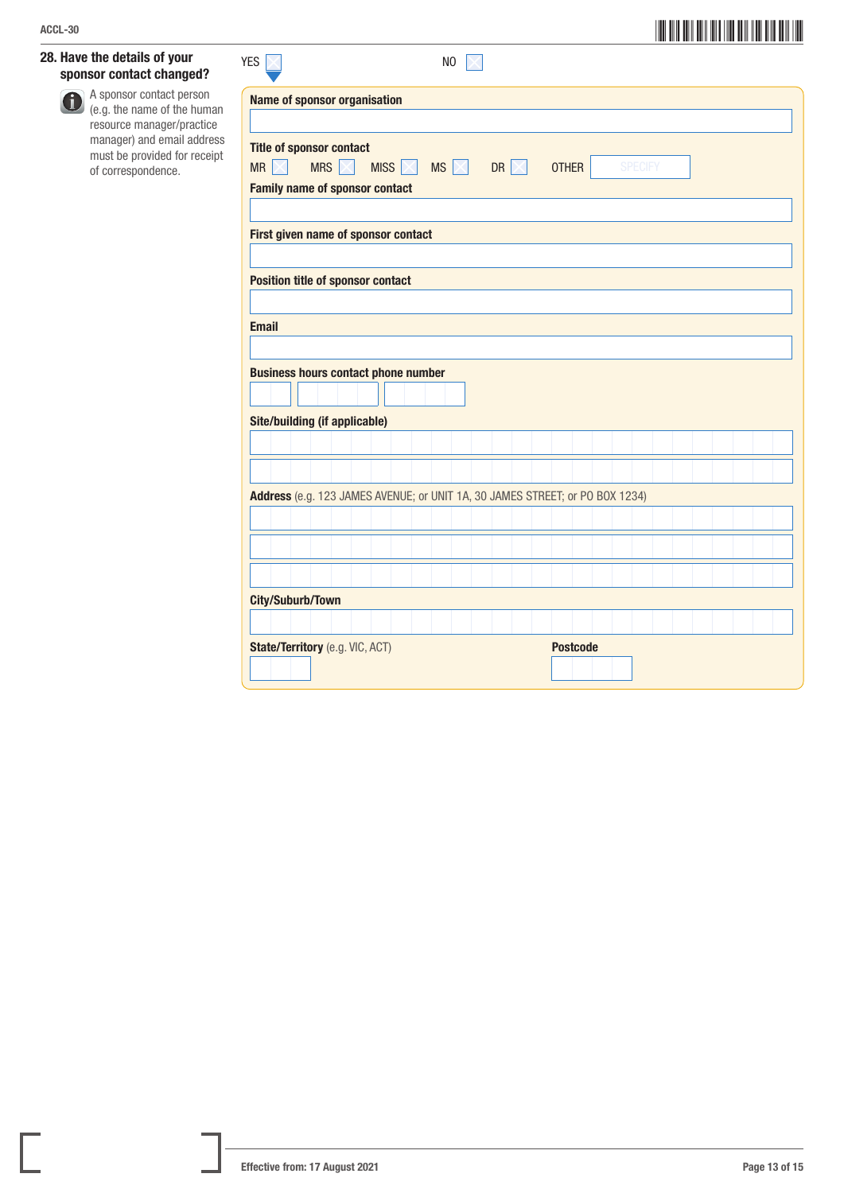### 28. Have the details of your sponsor contact changed?

 A sponsor contact person (e.g. the name of the human resource manager/practice manager) and email address must be provided for receipt of correspondence.

| <b>YES</b>              |                                                                                    | N <sub>0</sub>                              |                 |                |  |  |
|-------------------------|------------------------------------------------------------------------------------|---------------------------------------------|-----------------|----------------|--|--|
|                         | <b>Name of sponsor organisation</b>                                                |                                             |                 |                |  |  |
|                         |                                                                                    |                                             |                 |                |  |  |
| MR<br>$\times$          | <b>Title of sponsor contact</b>                                                    | MISS $\times$ MS $\times$ DR $\times$ OTHER |                 | <b>SPECIFY</b> |  |  |
|                         | <b>Family name of sponsor contact</b>                                              |                                             |                 |                |  |  |
|                         | First given name of sponsor contact                                                |                                             |                 |                |  |  |
|                         | <b>Position title of sponsor contact</b>                                           |                                             |                 |                |  |  |
|                         |                                                                                    |                                             |                 |                |  |  |
| <b>Email</b>            |                                                                                    |                                             |                 |                |  |  |
|                         | <b>Business hours contact phone number</b><br><b>Site/building (if applicable)</b> |                                             |                 |                |  |  |
|                         |                                                                                    |                                             |                 |                |  |  |
|                         |                                                                                    |                                             |                 |                |  |  |
|                         | Address (e.g. 123 JAMES AVENUE; or UNIT 1A, 30 JAMES STREET; or PO BOX 1234)       |                                             |                 |                |  |  |
|                         |                                                                                    |                                             |                 |                |  |  |
|                         |                                                                                    |                                             |                 |                |  |  |
|                         |                                                                                    |                                             |                 |                |  |  |
| <b>City/Suburb/Town</b> |                                                                                    |                                             |                 |                |  |  |
|                         | State/Territory (e.g. VIC, ACT)                                                    |                                             | <b>Postcode</b> |                |  |  |
|                         |                                                                                    |                                             |                 |                |  |  |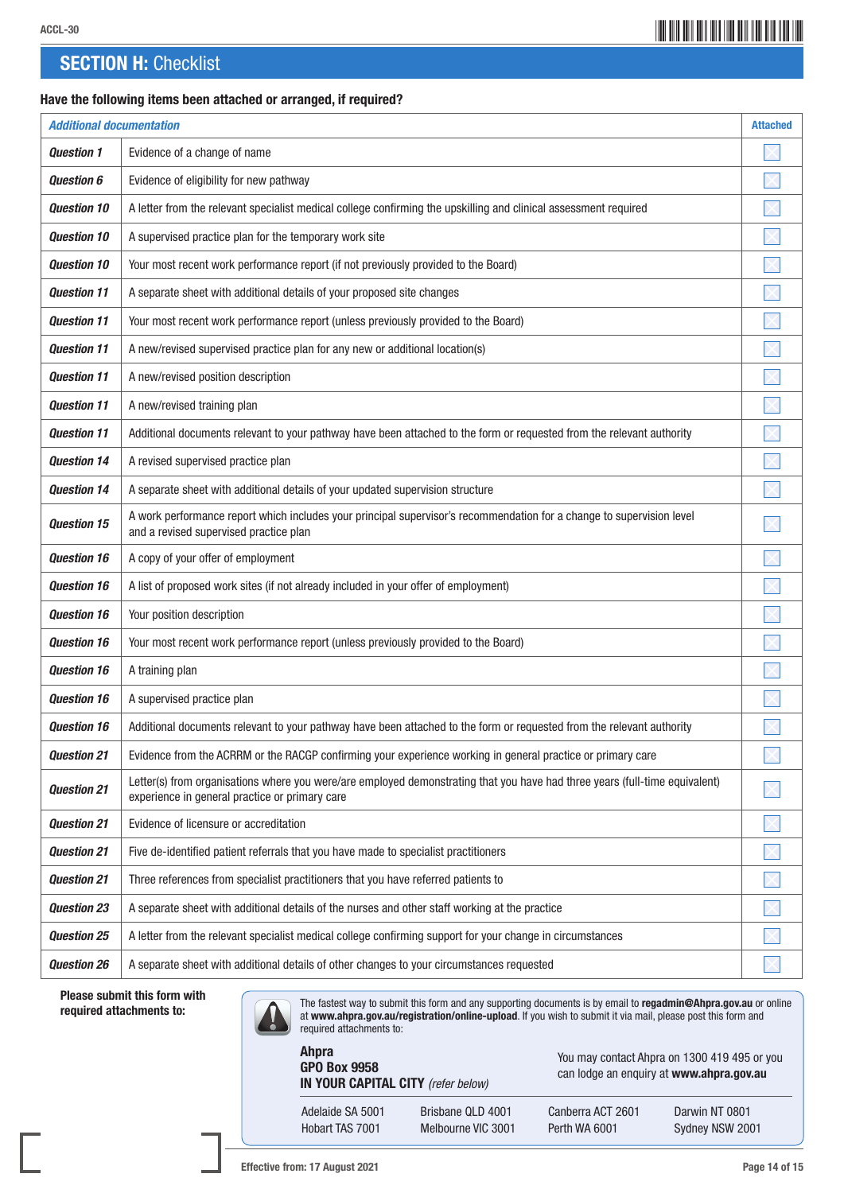## \*ACCL-3014\* ACCL-30

### **SECTION H: Checklist**

### Have the following items been attached or arranged, if required?

| <b>Additional documentation</b> |                                                                                                                                                                               | <b>Attached</b> |
|---------------------------------|-------------------------------------------------------------------------------------------------------------------------------------------------------------------------------|-----------------|
| <b>Question 1</b>               | Evidence of a change of name                                                                                                                                                  |                 |
| <b>Question 6</b>               | Evidence of eligibility for new pathway                                                                                                                                       |                 |
| <b>Question 10</b>              | A letter from the relevant specialist medical college confirming the upskilling and clinical assessment required                                                              |                 |
| <b>Question 10</b>              | A supervised practice plan for the temporary work site                                                                                                                        |                 |
| <b>Question 10</b>              | Your most recent work performance report (if not previously provided to the Board)                                                                                            |                 |
| <b>Question 11</b>              | A separate sheet with additional details of your proposed site changes                                                                                                        |                 |
| <b>Question 11</b>              | Your most recent work performance report (unless previously provided to the Board)                                                                                            |                 |
| <b>Question 11</b>              | A new/revised supervised practice plan for any new or additional location(s)                                                                                                  |                 |
| <b>Question 11</b>              | A new/revised position description                                                                                                                                            |                 |
| <b>Question 11</b>              | A new/revised training plan                                                                                                                                                   |                 |
| <b>Question 11</b>              | Additional documents relevant to your pathway have been attached to the form or requested from the relevant authority                                                         |                 |
| <b>Question 14</b>              | A revised supervised practice plan                                                                                                                                            |                 |
| <b>Ouestion 14</b>              | A separate sheet with additional details of your updated supervision structure                                                                                                |                 |
| <b>Question 15</b>              | A work performance report which includes your principal supervisor's recommendation for a change to supervision level<br>and a revised supervised practice plan               |                 |
| <b>Question 16</b>              | A copy of your offer of employment                                                                                                                                            |                 |
| <b>Question 16</b>              | A list of proposed work sites (if not already included in your offer of employment)                                                                                           |                 |
| <b>Question 16</b>              | Your position description                                                                                                                                                     |                 |
| <b>Question 16</b>              | Your most recent work performance report (unless previously provided to the Board)                                                                                            |                 |
| <b>Question 16</b>              | A training plan                                                                                                                                                               |                 |
| <b>Question 16</b>              | A supervised practice plan                                                                                                                                                    |                 |
| <b>Question 16</b>              | Additional documents relevant to your pathway have been attached to the form or requested from the relevant authority                                                         |                 |
| <b>Question 21</b>              | Evidence from the ACRRM or the RACGP confirming your experience working in general practice or primary care                                                                   |                 |
| <b>Question 21</b>              | Letter(s) from organisations where you were/are employed demonstrating that you have had three years (full-time equivalent)<br>experience in general practice or primary care |                 |
| <b>Question 21</b>              | Evidence of licensure or accreditation                                                                                                                                        |                 |
| <b>Question 21</b>              | Five de-identified patient referrals that you have made to specialist practitioners                                                                                           |                 |
| <b>Question 21</b>              | Three references from specialist practitioners that you have referred patients to                                                                                             |                 |
| <b>Question 23</b>              | A separate sheet with additional details of the nurses and other staff working at the practice                                                                                |                 |
| <b>Question 25</b>              | A letter from the relevant specialist medical college confirming support for your change in circumstances                                                                     |                 |
| <b>Question 26</b>              | A separate sheet with additional details of other changes to your circumstances requested                                                                                     |                 |

Please submit this form with

The fastest way to submit this form and any supporting documents is by email to **regadmin@Ahpra.gov.au** or online<br>**The fastest way to submit this form and by the submit it via mail, please post this form and at www.ahpra.g** required attachments to:

> Ahpra GPO Box 9958 IN YOUR CAPITAL CITY *(refer below)*

Adelaide SA 5001 Brisbane QLD 4001 Canberra ACT 2601 Darwin NT 0801 Hobart TAS 7001 Melbourne VIC 3001 Perth WA 6001 Sydney NSW 2001

You may contact Ahpra on 1300 419 495 or you can lodge an enquiry at www.ahpra.gov.au

Effective from: 17 August 2021 **Page 14 of 15** Page 14 of 15